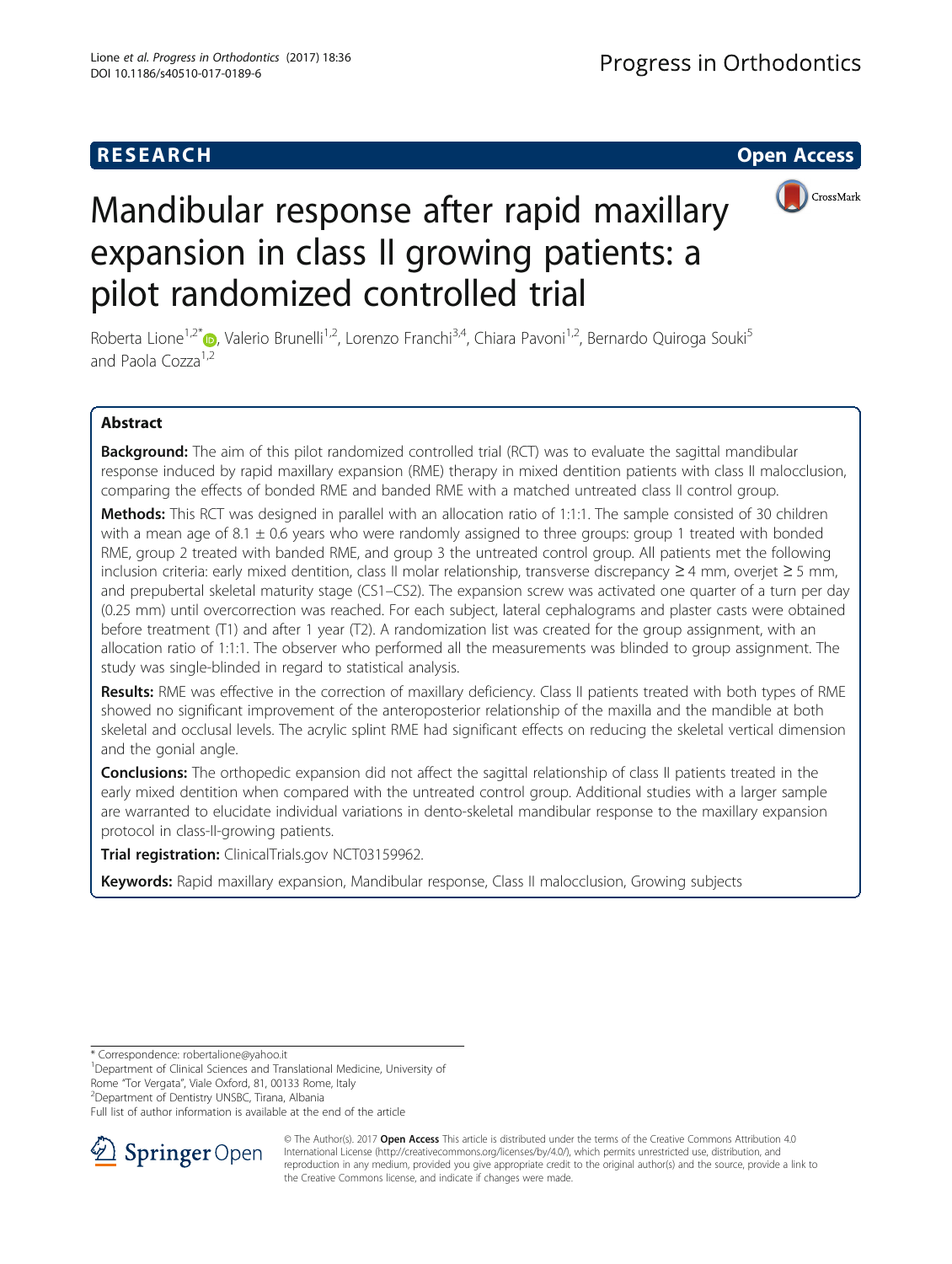## **RESEARCH CHE Open Access**



# Mandibular response after rapid maxillary expansion in class II growing patients: a pilot randomized controlled trial

Roberta Lione<sup>1[,](http://orcid.org/0000-0001-9292-3248)2\*</sup> (D, Valerio Brunelli<sup>1,2</sup>, Lorenzo Franchi<sup>3,4</sup>, Chiara Pavoni<sup>1,2</sup>, Bernardo Quiroga Souki<sup>5</sup> and Paola Cozza1,2

### Abstract

Background: The aim of this pilot randomized controlled trial (RCT) was to evaluate the sagittal mandibular response induced by rapid maxillary expansion (RME) therapy in mixed dentition patients with class II malocclusion, comparing the effects of bonded RME and banded RME with a matched untreated class II control group.

Methods: This RCT was designed in parallel with an allocation ratio of 1:1:1. The sample consisted of 30 children with a mean age of 8.1  $\pm$  0.6 years who were randomly assigned to three groups: group 1 treated with bonded RME, group 2 treated with banded RME, and group 3 the untreated control group. All patients met the following inclusion criteria: early mixed dentition, class II molar relationship, transverse discrepancy ≥ 4 mm, overjet ≥ 5 mm, and prepubertal skeletal maturity stage (CS1–CS2). The expansion screw was activated one quarter of a turn per day (0.25 mm) until overcorrection was reached. For each subject, lateral cephalograms and plaster casts were obtained before treatment (T1) and after 1 year (T2). A randomization list was created for the group assignment, with an allocation ratio of 1:1:1. The observer who performed all the measurements was blinded to group assignment. The study was single-blinded in regard to statistical analysis.

Results: RME was effective in the correction of maxillary deficiency. Class II patients treated with both types of RME showed no significant improvement of the anteroposterior relationship of the maxilla and the mandible at both skeletal and occlusal levels. The acrylic splint RME had significant effects on reducing the skeletal vertical dimension and the gonial angle.

**Conclusions:** The orthopedic expansion did not affect the sagittal relationship of class II patients treated in the early mixed dentition when compared with the untreated control group. Additional studies with a larger sample are warranted to elucidate individual variations in dento-skeletal mandibular response to the maxillary expansion protocol in class-II-growing patients.

Trial registration: [ClinicalTrials.gov](http://clinicaltrials.gov) [NCT03159962](https://clinicaltrials.gov/ct2/show/NCT03159962).

Keywords: Rapid maxillary expansion, Mandibular response, Class II malocclusion, Growing subjects

\* Correspondence: [robertalione@yahoo.it](mailto:robertalione@yahoo.it) <sup>1</sup>

<sup>1</sup>Department of Clinical Sciences and Translational Medicine, University of Rome "Tor Vergata", Viale Oxford, 81, 00133 Rome, Italy <sup>2</sup>

Department of Dentistry UNSBC, Tirana, Albania

Full list of author information is available at the end of the article



© The Author(s). 2017 **Open Access** This article is distributed under the terms of the Creative Commons Attribution 4.0 International License ([http://creativecommons.org/licenses/by/4.0/\)](http://creativecommons.org/licenses/by/4.0/), which permits unrestricted use, distribution, and reproduction in any medium, provided you give appropriate credit to the original author(s) and the source, provide a link to the Creative Commons license, and indicate if changes were made.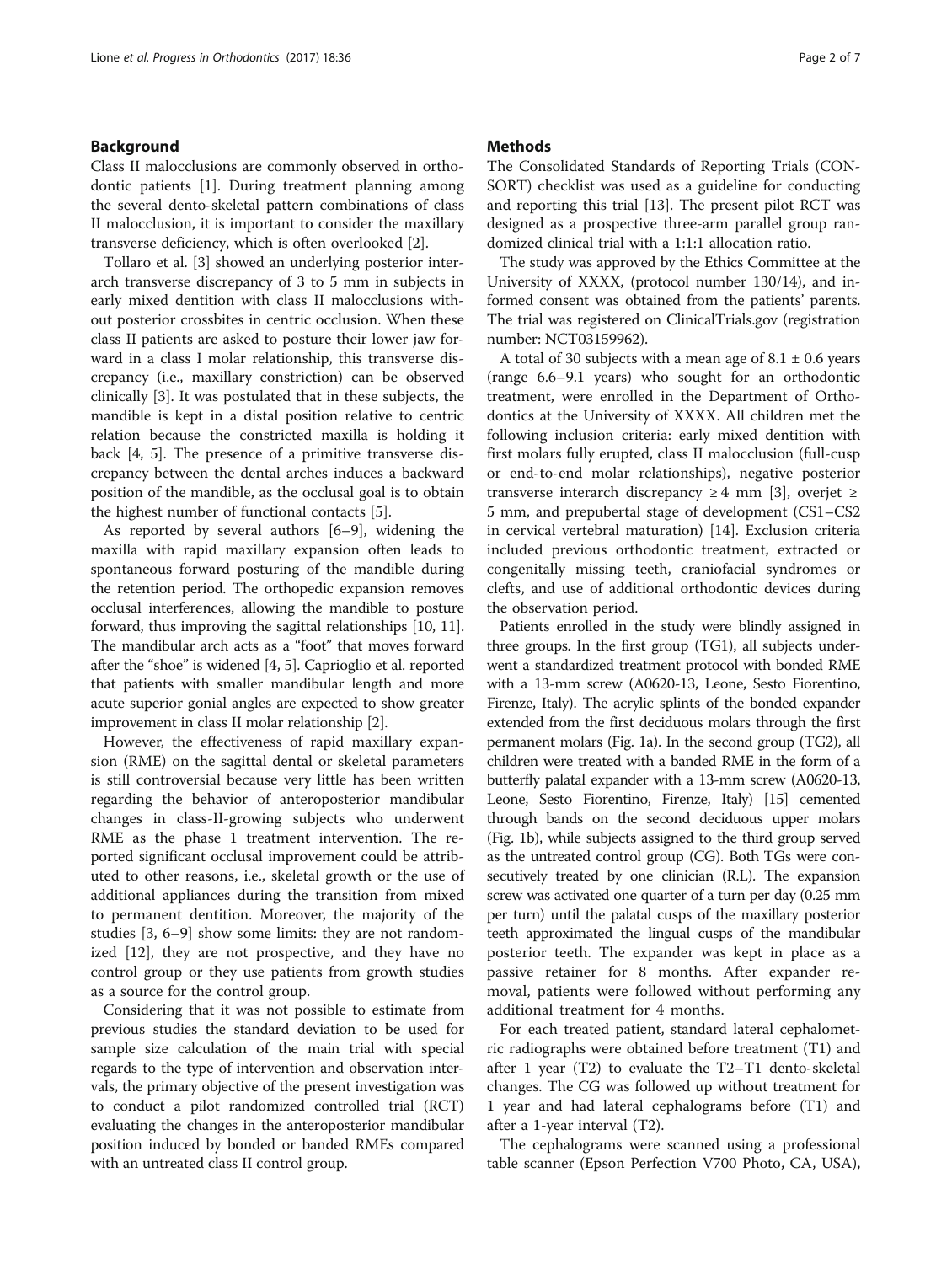#### Background

Class II malocclusions are commonly observed in orthodontic patients [[1\]](#page-5-0). During treatment planning among the several dento-skeletal pattern combinations of class II malocclusion, it is important to consider the maxillary transverse deficiency, which is often overlooked [\[2](#page-5-0)].

Tollaro et al. [[3\]](#page-5-0) showed an underlying posterior interarch transverse discrepancy of 3 to 5 mm in subjects in early mixed dentition with class II malocclusions without posterior crossbites in centric occlusion. When these class II patients are asked to posture their lower jaw forward in a class I molar relationship, this transverse discrepancy (i.e., maxillary constriction) can be observed clinically [[3\]](#page-5-0). It was postulated that in these subjects, the mandible is kept in a distal position relative to centric relation because the constricted maxilla is holding it back [[4, 5\]](#page-5-0). The presence of a primitive transverse discrepancy between the dental arches induces a backward position of the mandible, as the occlusal goal is to obtain the highest number of functional contacts [[5\]](#page-5-0).

As reported by several authors [[6](#page-5-0)–[9](#page-6-0)], widening the maxilla with rapid maxillary expansion often leads to spontaneous forward posturing of the mandible during the retention period. The orthopedic expansion removes occlusal interferences, allowing the mandible to posture forward, thus improving the sagittal relationships [\[10, 11](#page-6-0)]. The mandibular arch acts as a "foot" that moves forward after the "shoe" is widened [\[4](#page-5-0), [5\]](#page-5-0). Caprioglio et al. reported that patients with smaller mandibular length and more acute superior gonial angles are expected to show greater improvement in class II molar relationship [[2\]](#page-5-0).

However, the effectiveness of rapid maxillary expansion (RME) on the sagittal dental or skeletal parameters is still controversial because very little has been written regarding the behavior of anteroposterior mandibular changes in class-II-growing subjects who underwent RME as the phase 1 treatment intervention. The reported significant occlusal improvement could be attributed to other reasons, i.e., skeletal growth or the use of additional appliances during the transition from mixed to permanent dentition. Moreover, the majority of the studies [\[3](#page-5-0), [6](#page-5-0)–[9\]](#page-6-0) show some limits: they are not randomized [\[12](#page-6-0)], they are not prospective, and they have no control group or they use patients from growth studies as a source for the control group.

Considering that it was not possible to estimate from previous studies the standard deviation to be used for sample size calculation of the main trial with special regards to the type of intervention and observation intervals, the primary objective of the present investigation was to conduct a pilot randomized controlled trial (RCT) evaluating the changes in the anteroposterior mandibular position induced by bonded or banded RMEs compared with an untreated class II control group.

#### **Methods**

The Consolidated Standards of Reporting Trials (CON-SORT) checklist was used as a guideline for conducting and reporting this trial [\[13](#page-6-0)]. The present pilot RCT was designed as a prospective three-arm parallel group randomized clinical trial with a 1:1:1 allocation ratio.

The study was approved by the Ethics Committee at the University of XXXX, (protocol number 130/14), and informed consent was obtained from the patients' parents. The trial was registered on [ClinicalTrials.gov](http://clinicaltrials.gov) (registration number: NCT03159962).

A total of 30 subjects with a mean age of  $8.1 \pm 0.6$  years (range 6.6–9.1 years) who sought for an orthodontic treatment, were enrolled in the Department of Orthodontics at the University of XXXX. All children met the following inclusion criteria: early mixed dentition with first molars fully erupted, class II malocclusion (full-cusp or end-to-end molar relationships), negative posterior transverse interarch discrepancy  $\geq 4$  mm [\[3](#page-5-0)], overjet  $\geq$ 5 mm, and prepubertal stage of development (CS1–CS2 in cervical vertebral maturation) [\[14](#page-6-0)]. Exclusion criteria included previous orthodontic treatment, extracted or congenitally missing teeth, craniofacial syndromes or clefts, and use of additional orthodontic devices during the observation period.

Patients enrolled in the study were blindly assigned in three groups. In the first group (TG1), all subjects underwent a standardized treatment protocol with bonded RME with a 13-mm screw (A0620-13, Leone, Sesto Fiorentino, Firenze, Italy). The acrylic splints of the bonded expander extended from the first deciduous molars through the first permanent molars (Fig. [1a](#page-2-0)). In the second group (TG2), all children were treated with a banded RME in the form of a butterfly palatal expander with a 13-mm screw (A0620-13, Leone, Sesto Fiorentino, Firenze, Italy) [\[15\]](#page-6-0) cemented through bands on the second deciduous upper molars (Fig. [1b](#page-2-0)), while subjects assigned to the third group served as the untreated control group (CG). Both TGs were consecutively treated by one clinician (R.L). The expansion screw was activated one quarter of a turn per day (0.25 mm per turn) until the palatal cusps of the maxillary posterior teeth approximated the lingual cusps of the mandibular posterior teeth. The expander was kept in place as a passive retainer for 8 months. After expander removal, patients were followed without performing any additional treatment for 4 months.

For each treated patient, standard lateral cephalometric radiographs were obtained before treatment (T1) and after 1 year (T2) to evaluate the T2–T1 dento-skeletal changes. The CG was followed up without treatment for 1 year and had lateral cephalograms before (T1) and after a 1-year interval (T2).

The cephalograms were scanned using a professional table scanner (Epson Perfection V700 Photo, CA, USA),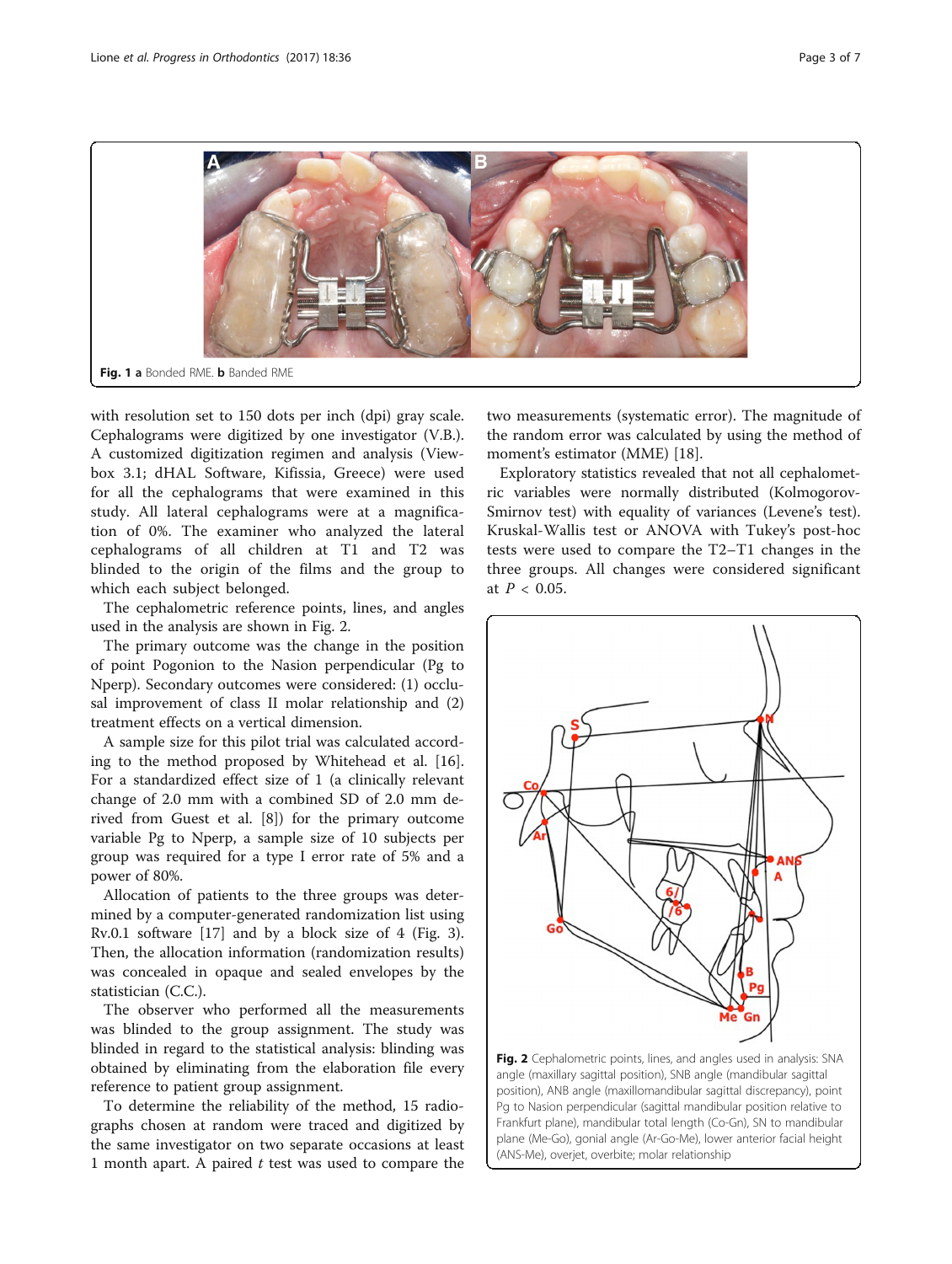<span id="page-2-0"></span>

with resolution set to 150 dots per inch (dpi) gray scale. Cephalograms were digitized by one investigator (V.B.). A customized digitization regimen and analysis (Viewbox 3.1; dHAL Software, Kifissia, Greece) were used for all the cephalograms that were examined in this study. All lateral cephalograms were at a magnification of 0%. The examiner who analyzed the lateral cephalograms of all children at T1 and T2 was blinded to the origin of the films and the group to which each subject belonged.

The cephalometric reference points, lines, and angles used in the analysis are shown in Fig. 2.

The primary outcome was the change in the position of point Pogonion to the Nasion perpendicular (Pg to Nperp). Secondary outcomes were considered: (1) occlusal improvement of class II molar relationship and (2) treatment effects on a vertical dimension.

A sample size for this pilot trial was calculated according to the method proposed by Whitehead et al. [\[16](#page-6-0)]. For a standardized effect size of 1 (a clinically relevant change of 2.0 mm with a combined SD of 2.0 mm derived from Guest et al. [\[8](#page-6-0)]) for the primary outcome variable Pg to Nperp, a sample size of 10 subjects per group was required for a type I error rate of 5% and a power of 80%.

Allocation of patients to the three groups was determined by a computer-generated randomization list using Rv.0.1 software [\[17\]](#page-6-0) and by a block size of 4 (Fig. [3](#page-3-0)). Then, the allocation information (randomization results) was concealed in opaque and sealed envelopes by the statistician (C.C.).

The observer who performed all the measurements was blinded to the group assignment. The study was blinded in regard to the statistical analysis: blinding was obtained by eliminating from the elaboration file every reference to patient group assignment.

To determine the reliability of the method, 15 radiographs chosen at random were traced and digitized by the same investigator on two separate occasions at least 1 month apart. A paired  $t$  test was used to compare the

two measurements (systematic error). The magnitude of the random error was calculated by using the method of moment's estimator (MME) [[18\]](#page-6-0).

Exploratory statistics revealed that not all cephalometric variables were normally distributed (Kolmogorov-Smirnov test) with equality of variances (Levene's test). Kruskal-Wallis test or ANOVA with Tukey's post-hoc tests were used to compare the T2–T1 changes in the three groups. All changes were considered significant at  $P < 0.05$ .



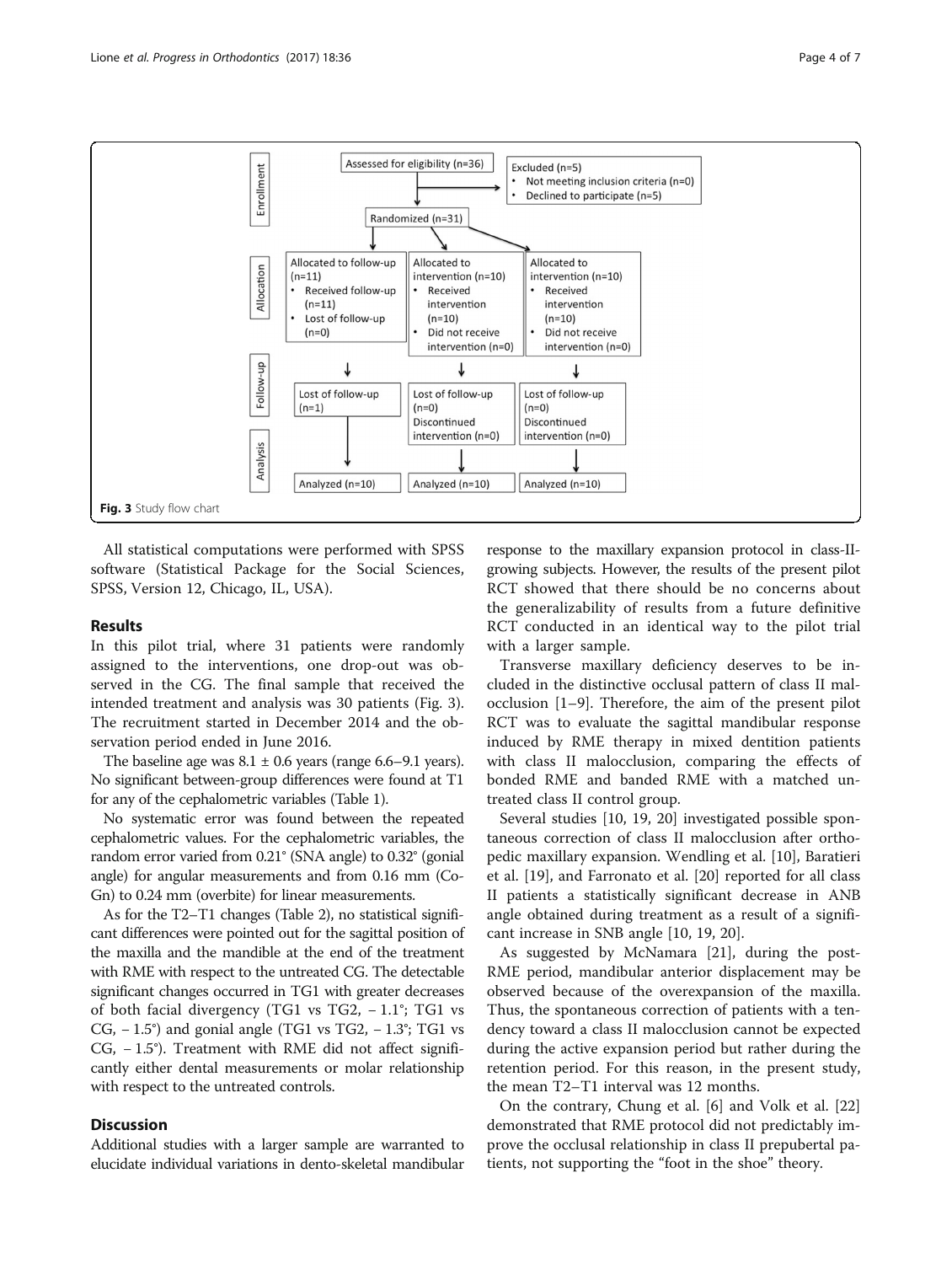<span id="page-3-0"></span>

All statistical computations were performed with SPSS software (Statistical Package for the Social Sciences, SPSS, Version 12, Chicago, IL, USA).

#### Results

In this pilot trial, where 31 patients were randomly assigned to the interventions, one drop-out was observed in the CG. The final sample that received the intended treatment and analysis was 30 patients (Fig. 3). The recruitment started in December 2014 and the observation period ended in June 2016.

The baseline age was  $8.1 \pm 0.6$  years (range 6.6–9.1 years). No significant between-group differences were found at T1 for any of the cephalometric variables (Table [1](#page-4-0)).

No systematic error was found between the repeated cephalometric values. For the cephalometric variables, the random error varied from 0.21° (SNA angle) to 0.32° (gonial angle) for angular measurements and from 0.16 mm (Co-Gn) to 0.24 mm (overbite) for linear measurements.

As for the T2–T1 changes (Table [2\)](#page-4-0), no statistical significant differences were pointed out for the sagittal position of the maxilla and the mandible at the end of the treatment with RME with respect to the untreated CG. The detectable significant changes occurred in TG1 with greater decreases of both facial divergency (TG1 vs TG2, − 1.1°; TG1 vs CG,  $-1.5^{\circ}$ ) and gonial angle (TG1 vs TG2,  $-1.3^{\circ}$ ; TG1 vs CG, −1.5°). Treatment with RME did not affect significantly either dental measurements or molar relationship with respect to the untreated controls.

#### **Discussion**

Additional studies with a larger sample are warranted to elucidate individual variations in dento-skeletal mandibular

response to the maxillary expansion protocol in class-IIgrowing subjects. However, the results of the present pilot RCT showed that there should be no concerns about the generalizability of results from a future definitive RCT conducted in an identical way to the pilot trial with a larger sample.

Transverse maxillary deficiency deserves to be included in the distinctive occlusal pattern of class II malocclusion [\[1](#page-5-0)–[9](#page-6-0)]. Therefore, the aim of the present pilot RCT was to evaluate the sagittal mandibular response induced by RME therapy in mixed dentition patients with class II malocclusion, comparing the effects of bonded RME and banded RME with a matched untreated class II control group.

Several studies [\[10, 19](#page-6-0), [20\]](#page-6-0) investigated possible spontaneous correction of class II malocclusion after orthopedic maxillary expansion. Wendling et al. [[10](#page-6-0)], Baratieri et al. [\[19\]](#page-6-0), and Farronato et al. [\[20](#page-6-0)] reported for all class II patients a statistically significant decrease in ANB angle obtained during treatment as a result of a significant increase in SNB angle [[10, 19, 20\]](#page-6-0).

As suggested by McNamara [\[21](#page-6-0)], during the post-RME period, mandibular anterior displacement may be observed because of the overexpansion of the maxilla. Thus, the spontaneous correction of patients with a tendency toward a class II malocclusion cannot be expected during the active expansion period but rather during the retention period. For this reason, in the present study, the mean T2–T1 interval was 12 months.

On the contrary, Chung et al. [[6\]](#page-5-0) and Volk et al. [[22](#page-6-0)] demonstrated that RME protocol did not predictably improve the occlusal relationship in class II prepubertal patients, not supporting the "foot in the shoe" theory.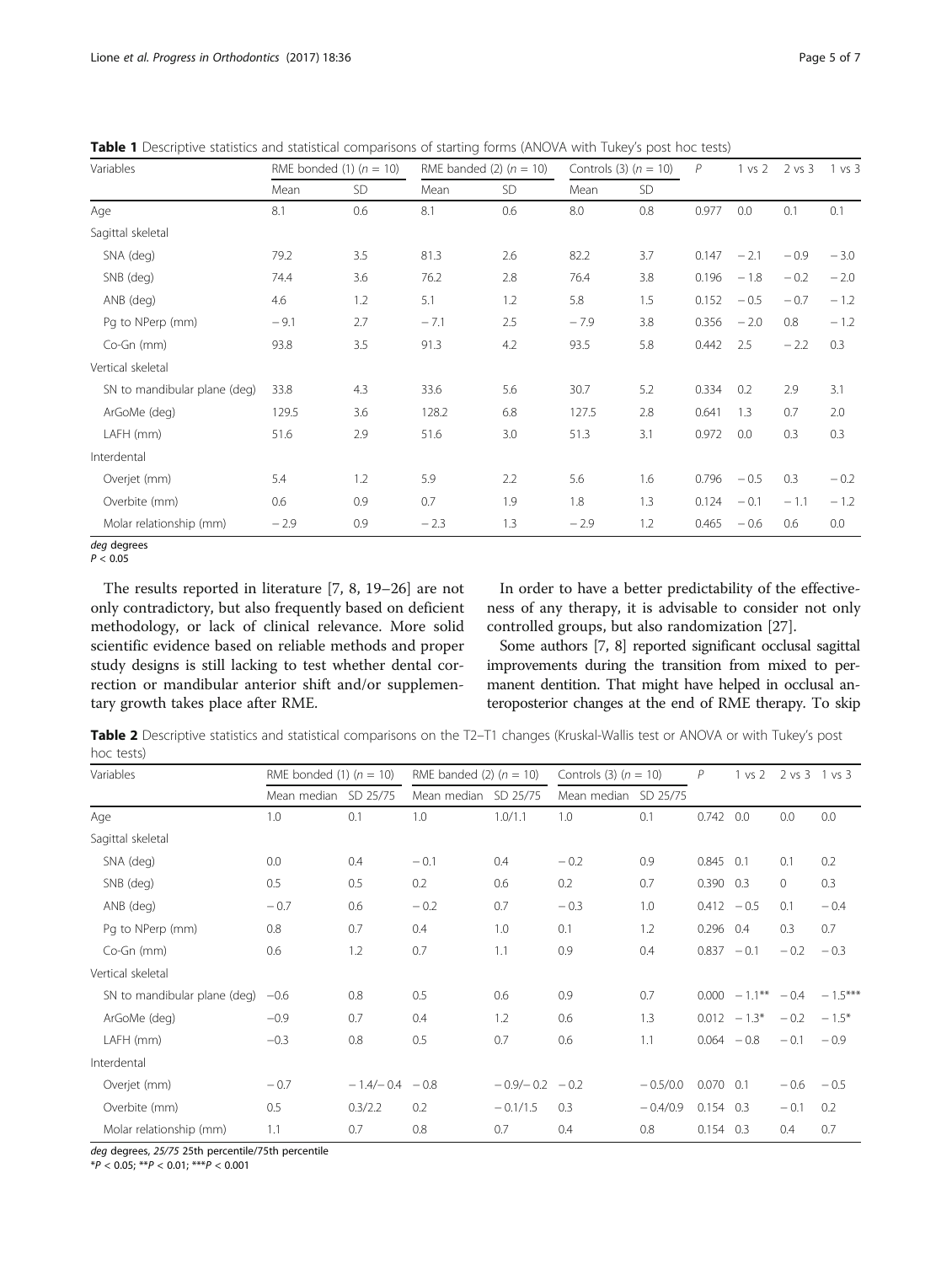<span id="page-4-0"></span>Table 1 Descriptive statistics and statistical comparisons of starting forms (ANOVA with Tukey's post hoc tests)

| Variables                    | RME bonded (1) $(n = 10)$ |           | RME banded (2) $(n = 10)$ |           | Controls (3) $(n = 10)$ |           | $\mathcal{P}$ | 1 vs 2 | 2 vs 3 | 1 vs 3 |
|------------------------------|---------------------------|-----------|---------------------------|-----------|-------------------------|-----------|---------------|--------|--------|--------|
|                              | Mean                      | <b>SD</b> | Mean                      | <b>SD</b> | Mean                    | <b>SD</b> |               |        |        |        |
| Age                          | 8.1                       | 0.6       | 8.1                       | 0.6       | 8.0                     | 0.8       | 0.977         | 0.0    | 0.1    | 0.1    |
| Sagittal skeletal            |                           |           |                           |           |                         |           |               |        |        |        |
| SNA (deg)                    | 79.2                      | 3.5       | 81.3                      | 2.6       | 82.2                    | 3.7       | 0.147         | $-2.1$ | $-0.9$ | $-3.0$ |
| SNB (deg)                    | 74.4                      | 3.6       | 76.2                      | 2.8       | 76.4                    | 3.8       | 0.196         | $-1.8$ | $-0.2$ | $-2.0$ |
| ANB (deg)                    | 4.6                       | 1.2       | 5.1                       | 1.2       | 5.8                     | 1.5       | 0.152         | $-0.5$ | $-0.7$ | $-1.2$ |
| Pq to NPerp (mm)             | $-9.1$                    | 2.7       | $-7.1$                    | 2.5       | $-7.9$                  | 3.8       | 0.356         | $-2.0$ | 0.8    | $-1.2$ |
| Co-Gn (mm)                   | 93.8                      | 3.5       | 91.3                      | 4.2       | 93.5                    | 5.8       | 0.442         | 2.5    | $-2.2$ | 0.3    |
| Vertical skeletal            |                           |           |                           |           |                         |           |               |        |        |        |
| SN to mandibular plane (deg) | 33.8                      | 4.3       | 33.6                      | 5.6       | 30.7                    | 5.2       | 0.334         | 0.2    | 2.9    | 3.1    |
| ArGoMe (deg)                 | 129.5                     | 3.6       | 128.2                     | 6.8       | 127.5                   | 2.8       | 0.641         | 1.3    | 0.7    | 2.0    |
| LAFH (mm)                    | 51.6                      | 2.9       | 51.6                      | 3.0       | 51.3                    | 3.1       | 0.972         | 0.0    | 0.3    | 0.3    |
| Interdental                  |                           |           |                           |           |                         |           |               |        |        |        |
| Overjet (mm)                 | 5.4                       | 1.2       | 5.9                       | 2.2       | 5.6                     | 1.6       | 0.796         | $-0.5$ | 0.3    | $-0.2$ |
| Overbite (mm)                | 0.6                       | 0.9       | 0.7                       | 1.9       | 1.8                     | 1.3       | 0.124         | $-0.1$ | $-1.1$ | $-1.2$ |
| Molar relationship (mm)      | $-2.9$                    | 0.9       | $-2.3$                    | 1.3       | $-2.9$                  | 1.2       | 0.465         | $-0.6$ | 0.6    | 0.0    |

deg degrees

 $P < 0.05$ 

The results reported in literature [[7,](#page-5-0) [8](#page-6-0), [19](#page-6-0)–[26](#page-6-0)] are not only contradictory, but also frequently based on deficient methodology, or lack of clinical relevance. More solid scientific evidence based on reliable methods and proper study designs is still lacking to test whether dental correction or mandibular anterior shift and/or supplementary growth takes place after RME.

In order to have a better predictability of the effectiveness of any therapy, it is advisable to consider not only controlled groups, but also randomization [\[27](#page-6-0)].

Some authors [\[7](#page-5-0), [8](#page-6-0)] reported significant occlusal sagittal improvements during the transition from mixed to permanent dentition. That might have helped in occlusal anteroposterior changes at the end of RME therapy. To skip

Table 2 Descriptive statistics and statistical comparisons on the T2–T1 changes (Kruskal-Wallis test or ANOVA or with Tukey's post hoc tests)

| Variables                    | RME bonded (1) $(n = 10)$ |                    | RME banded (2) $(n = 10)$ |                    | Controls (3) $(n = 10)$ |            | P             | 1 vs 2                 | 2 vs 3 1 vs 3 |           |
|------------------------------|---------------------------|--------------------|---------------------------|--------------------|-------------------------|------------|---------------|------------------------|---------------|-----------|
|                              | Mean median SD 25/75      |                    | Mean median SD 25/75      |                    | Mean median SD 25/75    |            |               |                        |               |           |
| Age                          | 1.0                       | 0.1                | 1.0                       | 1.0/1.1            | 1.0                     | 0.1        | 0.742         | 0.0                    | 0.0           | 0.0       |
| Sagittal skeletal            |                           |                    |                           |                    |                         |            |               |                        |               |           |
| SNA (deg)                    | 0.0                       | 0.4                | $-0.1$                    | 0.4                | $-0.2$                  | 0.9        | 0.845         | 0.1                    | 0.1           | 0.2       |
| SNB (deg)                    | 0.5                       | 0.5                | 0.2                       | 0.6                | 0.2                     | 0.7        | 0.390         | 0.3                    | $\circ$       | 0.3       |
| ANB (deg)                    | $-0.7$                    | 0.6                | $-0.2$                    | 0.7                | $-0.3$                  | 1.0        | $0.412 - 0.5$ |                        | 0.1           | $-0.4$    |
| Pg to NPerp (mm)             | 0.8                       | 0.7                | 0.4                       | 1.0                | 0.1                     | 1.2        | 0.296         | 0.4                    | 0.3           | 0.7       |
| Co-Gn (mm)                   | 0.6                       | 1.2                | 0.7                       | 1.1                | 0.9                     | 0.4        | 0.837         | $-0.1$                 | $-0.2$        | $-0.3$    |
| Vertical skeletal            |                           |                    |                           |                    |                         |            |               |                        |               |           |
| SN to mandibular plane (deg) | $-0.6$                    | 0.8                | 0.5                       | 0.6                | 0.9                     | 0.7        |               | $0.000 - 1.1*** - 0.4$ |               | $-1.5***$ |
| ArGoMe (deg)                 | $-0.9$                    | 0.7                | 0.4                       | 1.2                | 0.6                     | 1.3        |               | $0.012 - 1.3*$         | $-0.2$        | $-1.5*$   |
| LAFH (mm)                    | $-0.3$                    | 0.8                | 0.5                       | 0.7                | 0.6                     | 1.1        |               | $0.064 - 0.8$          | $-0.1$        | $-0.9$    |
| Interdental                  |                           |                    |                           |                    |                         |            |               |                        |               |           |
| Overjet (mm)                 | $-0.7$                    | $-1.4/- 0.4 - 0.8$ |                           | $-0.9/- 0.2 - 0.2$ |                         | $-0.5/0.0$ | $0.070$ 0.1   |                        | $-0.6$        | $-0.5$    |
| Overbite (mm)                | 0.5                       | 0.3/2.2            | 0.2                       | $-0.1/1.5$         | 0.3                     | $-0.4/0.9$ | 0.154         | 0.3                    | $-0.1$        | 0.2       |
| Molar relationship (mm)      | 1.1                       | 0.7                | 0.8                       | 0.7                | 0.4                     | 0.8        | 0.154         | 0.3                    | 0.4           | 0.7       |

deg degrees, 25/75 25th percentile/75th percentile

 $*P < 0.05; **P < 0.01; **P < 0.001$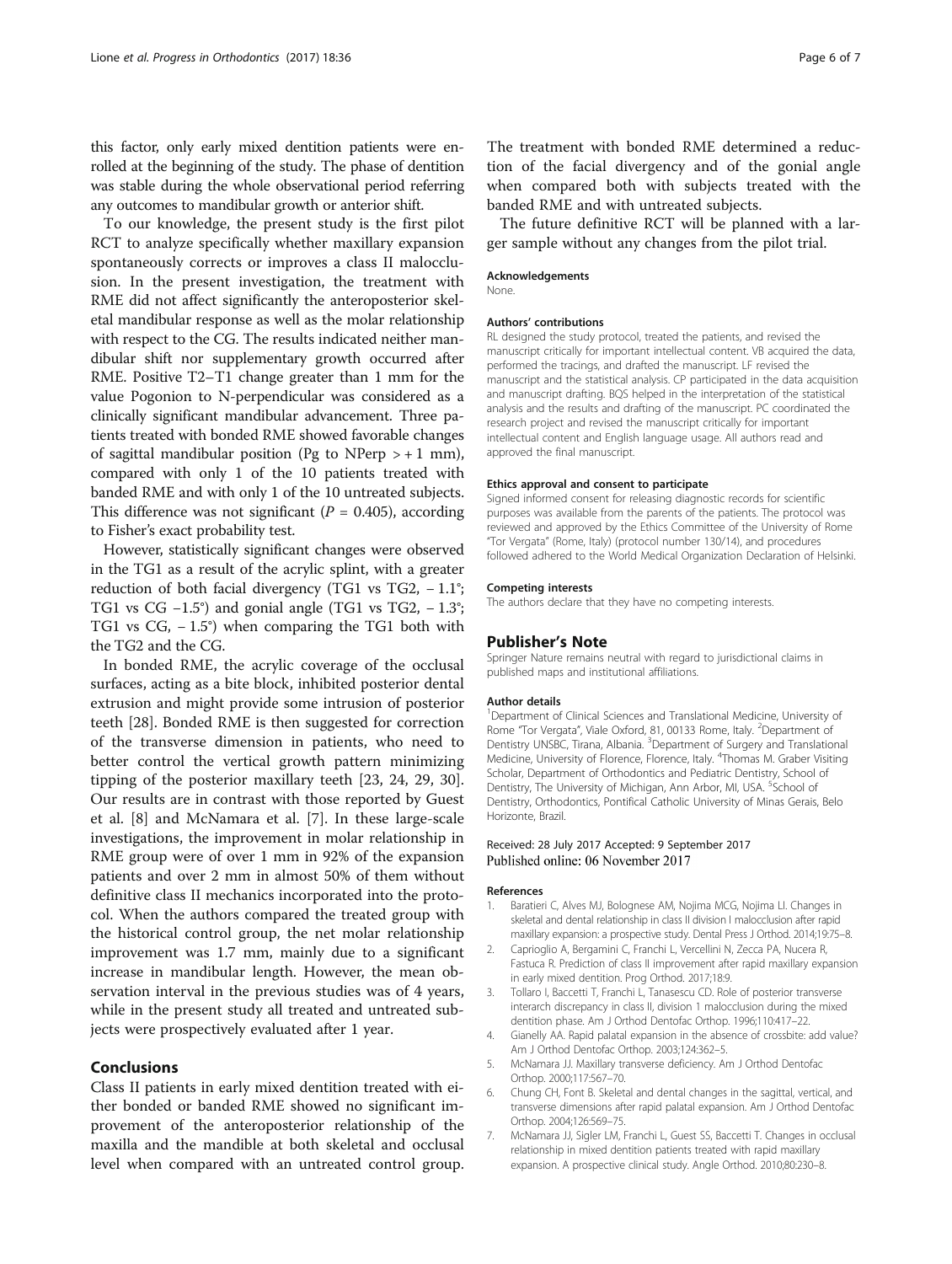<span id="page-5-0"></span>this factor, only early mixed dentition patients were enrolled at the beginning of the study. The phase of dentition was stable during the whole observational period referring any outcomes to mandibular growth or anterior shift.

To our knowledge, the present study is the first pilot RCT to analyze specifically whether maxillary expansion spontaneously corrects or improves a class II malocclusion. In the present investigation, the treatment with RME did not affect significantly the anteroposterior skeletal mandibular response as well as the molar relationship with respect to the CG. The results indicated neither mandibular shift nor supplementary growth occurred after RME. Positive T2–T1 change greater than 1 mm for the value Pogonion to N-perpendicular was considered as a clinically significant mandibular advancement. Three patients treated with bonded RME showed favorable changes of sagittal mandibular position (Pg to NPerp  $> + 1$  mm), compared with only 1 of the 10 patients treated with banded RME and with only 1 of the 10 untreated subjects. This difference was not significant ( $P = 0.405$ ), according to Fisher's exact probability test.

However, statistically significant changes were observed in the TG1 as a result of the acrylic splint, with a greater reduction of both facial divergency (TG1 vs TG2, − 1.1°; TG1 vs CG  $-1.5^{\circ}$ ) and gonial angle (TG1 vs TG2,  $-1.3^{\circ}$ ; TG1 vs  $CG, -1.5^{\circ}$ ) when comparing the TG1 both with the TG2 and the CG.

In bonded RME, the acrylic coverage of the occlusal surfaces, acting as a bite block, inhibited posterior dental extrusion and might provide some intrusion of posterior teeth [[28](#page-6-0)]. Bonded RME is then suggested for correction of the transverse dimension in patients, who need to better control the vertical growth pattern minimizing tipping of the posterior maxillary teeth [[23, 24](#page-6-0), [29](#page-6-0), [30](#page-6-0)]. Our results are in contrast with those reported by Guest et al. [[8\]](#page-6-0) and McNamara et al. [7]. In these large-scale investigations, the improvement in molar relationship in RME group were of over 1 mm in 92% of the expansion patients and over 2 mm in almost 50% of them without definitive class II mechanics incorporated into the protocol. When the authors compared the treated group with the historical control group, the net molar relationship improvement was 1.7 mm, mainly due to a significant increase in mandibular length. However, the mean observation interval in the previous studies was of 4 years, while in the present study all treated and untreated subjects were prospectively evaluated after 1 year.

#### Conclusions

Class II patients in early mixed dentition treated with either bonded or banded RME showed no significant improvement of the anteroposterior relationship of the maxilla and the mandible at both skeletal and occlusal level when compared with an untreated control group.

The future definitive RCT will be planned with a larger sample without any changes from the pilot trial.

#### Acknowledgements

None.

#### Authors' contributions

RL designed the study protocol, treated the patients, and revised the manuscript critically for important intellectual content. VB acquired the data, performed the tracings, and drafted the manuscript. LF revised the manuscript and the statistical analysis. CP participated in the data acquisition and manuscript drafting. BQS helped in the interpretation of the statistical analysis and the results and drafting of the manuscript. PC coordinated the research project and revised the manuscript critically for important intellectual content and English language usage. All authors read and approved the final manuscript.

#### Ethics approval and consent to participate

Signed informed consent for releasing diagnostic records for scientific purposes was available from the parents of the patients. The protocol was reviewed and approved by the Ethics Committee of the University of Rome "Tor Vergata" (Rome, Italy) (protocol number 130/14), and procedures followed adhered to the World Medical Organization Declaration of Helsinki.

#### Competing interests

The authors declare that they have no competing interests.

#### Publisher's Note

Springer Nature remains neutral with regard to jurisdictional claims in published maps and institutional affiliations.

#### Author details

<sup>1</sup>Department of Clinical Sciences and Translational Medicine, University of Rome "Tor Vergata", Viale Oxford, 81, 00133 Rome, Italy. <sup>2</sup>Department of Dentistry UNSBC, Tirana, Albania. <sup>3</sup>Department of Surgery and Translational Medicine, University of Florence, Florence, Italy. <sup>4</sup>Thomas M. Graber Visiting Scholar, Department of Orthodontics and Pediatric Dentistry, School of Dentistry, The University of Michigan, Ann Arbor, MI, USA. <sup>5</sup>School of Dentistry, Orthodontics, Pontifical Catholic University of Minas Gerais, Belo Horizonte, Brazil.

#### Received: 28 July 2017 Accepted: 9 September 2017 Published online: 06 November 2017

#### References

- 1. Baratieri C, Alves MJ, Bolognese AM, Nojima MCG, Nojima LI. Changes in skeletal and dental relationship in class II division I malocclusion after rapid maxillary expansion: a prospective study. Dental Press J Orthod. 2014;19:75–8.
- 2. Caprioglio A, Bergamini C, Franchi L, Vercellini N, Zecca PA, Nucera R, Fastuca R. Prediction of class II improvement after rapid maxillary expansion in early mixed dentition. Prog Orthod. 2017;18:9.
- 3. Tollaro I, Baccetti T, Franchi L, Tanasescu CD. Role of posterior transverse interarch discrepancy in class II, division 1 malocclusion during the mixed dentition phase. Am J Orthod Dentofac Orthop. 1996;110:417–22.
- 4. Gianelly AA. Rapid palatal expansion in the absence of crossbite: add value? Am J Orthod Dentofac Orthop. 2003;124:362–5.
- 5. McNamara JJ. Maxillary transverse deficiency. Am J Orthod Dentofac Orthop. 2000;117:567–70.
- 6. Chung CH, Font B. Skeletal and dental changes in the sagittal, vertical, and transverse dimensions after rapid palatal expansion. Am J Orthod Dentofac Orthop. 2004;126:569–75.
- 7. McNamara JJ, Sigler LM, Franchi L, Guest SS, Baccetti T. Changes in occlusal relationship in mixed dentition patients treated with rapid maxillary expansion. A prospective clinical study. Angle Orthod. 2010;80:230–8.